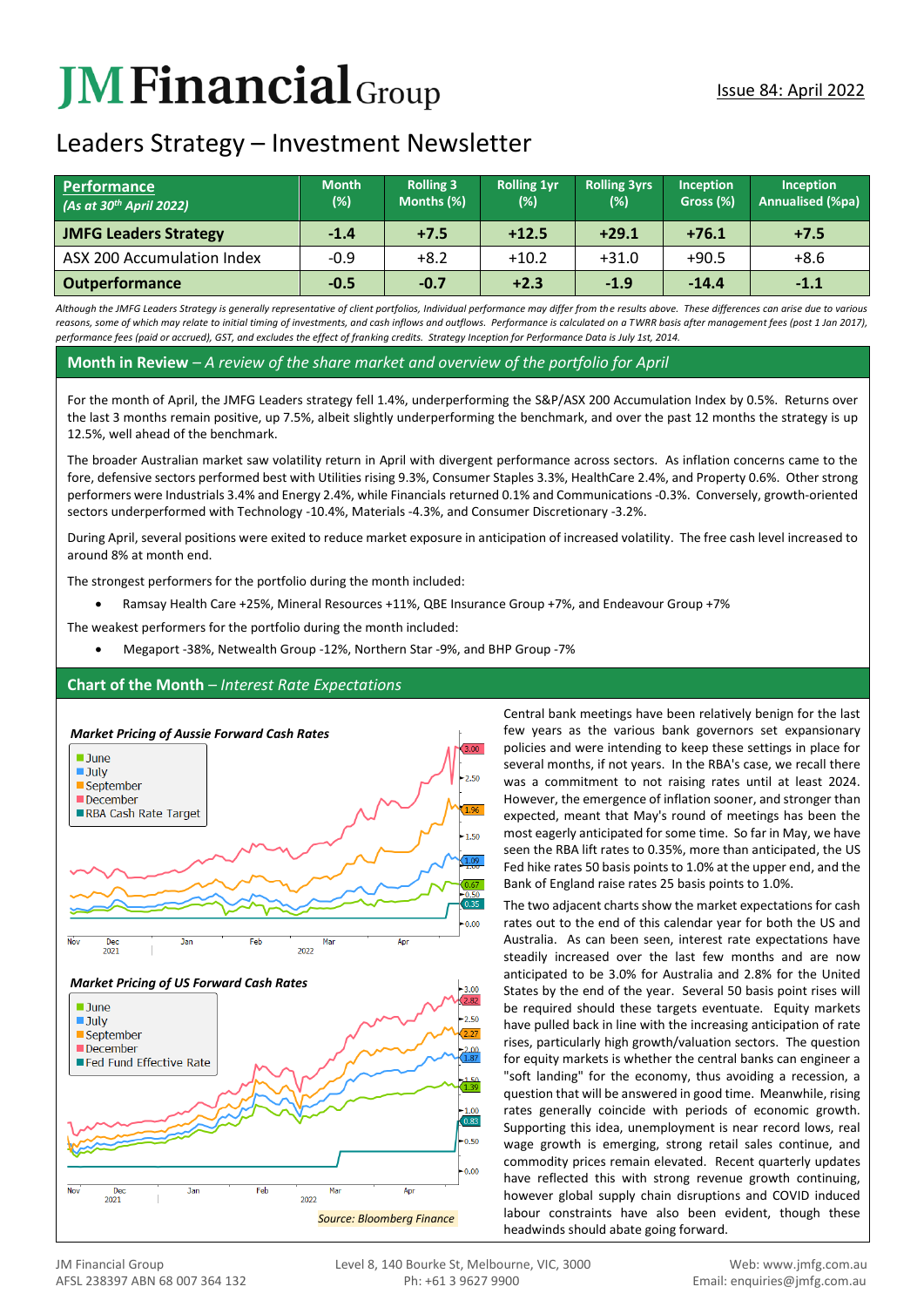# **JM Financial** Group

## Leaders Strategy – Investment Newsletter

| <b>Performance</b><br>(As at $30th$ April 2022) | <b>Month</b><br>$(\%)$ | <b>Rolling 3</b><br>Months (%) | <b>Rolling 1yr</b><br>(%) | <b>Rolling 3yrs</b><br>(%) | <b>Inception</b><br>Gross (%) | Inception<br><b>Annualised (%pa)</b> |
|-------------------------------------------------|------------------------|--------------------------------|---------------------------|----------------------------|-------------------------------|--------------------------------------|
| <b>JMFG Leaders Strategy</b>                    | $-1.4$                 | $+7.5$                         | $+12.5$                   | $+29.1$                    | $+76.1$                       | $+7.5$                               |
| ASX 200 Accumulation Index                      | $-0.9$                 | $+8.2$                         | $+10.2$                   | $+31.0$                    | $+90.5$                       | $+8.6$                               |
| <b>Outperformance</b>                           | $-0.5$                 | $-0.7$                         | $+2.3$                    | $-1.9$                     | $-14.4$                       | $-1.1$                               |

*Although the JMFG Leaders Strategy is generally representative of client portfolios, Individual performance may differ from the results above. These differences can arise due to various* reasons, some of which may relate to initial timing of investments, and cash inflows and outflows. Performance is calculated on a TWRR basis after management fees (post 1 Jan 2017), *performance fees (paid or accrued), GST, and excludes the effect of franking credits. Strategy Inception for Performance Data is July 1st, 2014.*

**Month in Review** *– A review of the share market and overview of the portfolio for April*

For the month of April, the JMFG Leaders strategy fell 1.4%, underperforming the S&P/ASX 200 Accumulation Index by 0.5%. Returns over the last 3 months remain positive, up 7.5%, albeit slightly underperforming the benchmark, and over the past 12 months the strategy is up 12.5%, well ahead of the benchmark.

The broader Australian market saw volatility return in April with divergent performance across sectors. As inflation concerns came to the fore, defensive sectors performed best with Utilities rising 9.3%, Consumer Staples 3.3%, HealthCare 2.4%, and Property 0.6%. Other strong performers were Industrials 3.4% and Energy 2.4%, while Financials returned 0.1% and Communications -0.3%. Conversely, growth-oriented sectors underperformed with Technology -10.4%, Materials -4.3%, and Consumer Discretionary -3.2%.

During April, several positions were exited to reduce market exposure in anticipation of increased volatility. The free cash level increased to around 8% at month end.

The strongest performers for the portfolio during the month included:

• Ramsay Health Care +25%, Mineral Resources +11%, QBE Insurance Group +7%, and Endeavour Group +7%

The weakest performers for the portfolio during the month included:

• Megaport -38%, Netwealth Group -12%, Northern Star -9%, and BHP Group -7%

### **Chart of the Month** *– Interest Rate Expectations*



Central bank meetings have been relatively benign for the last few years as the various bank governors set expansionary policies and were intending to keep these settings in place for several months, if not years. In the RBA's case, we recall there was a commitment to not raising rates until at least 2024. However, the emergence of inflation sooner, and stronger than expected, meant that May's round of meetings has been the most eagerly anticipated for some time. So far in May, we have seen the RBA lift rates to 0.35%, more than anticipated, the US Fed hike rates 50 basis points to 1.0% at the upper end, and the Bank of England raise rates 25 basis points to 1.0%.

The two adjacent charts show the market expectations for cash rates out to the end of this calendar year for both the US and Australia. As can been seen, interest rate expectations have steadily increased over the last few months and are now anticipated to be 3.0% for Australia and 2.8% for the United States by the end of the year. Several 50 basis point rises will be required should these targets eventuate. Equity markets have pulled back in line with the increasing anticipation of rate rises, particularly high growth/valuation sectors. The question for equity markets is whether the central banks can engineer a "soft landing" for the economy, thus avoiding a recession, a question that will be answered in good time. Meanwhile, rising rates generally coincide with periods of economic growth. Supporting this idea, unemployment is near record lows, real wage growth is emerging, strong retail sales continue, and commodity prices remain elevated. Recent quarterly updates have reflected this with strong revenue growth continuing, however global supply chain disruptions and COVID induced labour constraints have also been evident, though these headwinds should abate going forward.

*Source: Bloomberg Finance*